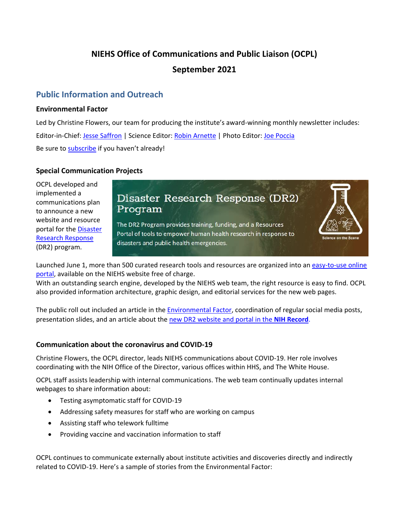# **NIEHS Office of Communications and Public Liaison (OCPL)**

## **September 2021**

# **Public Information and Outreach**

#### **Environmental Factor**

Led by Christine Flowers, our team for producing the institute's award-winning monthly newsletter includes: Editor-in-Chief: [Jesse Saffron |](mailto:jesse.saffron@nih.gov) Science Editor: [Robin Arnette](mailto:arnetter@niehs.nih.gov) | Photo Editor: [Joe Poccia](mailto:joseph.poccia@nih.gov)  Be sure to [subscribe](https://factor.niehs.nih.gov/subscribe-newsletter.cfm) if you haven't already!

#### **Special Communication Projects**

OCPL developed and implemented a communications plan to announce a new website and resource portal for the [Disaster](https://www.niehs.nih.gov/research/programs/disaster/)  [Research Response](https://www.niehs.nih.gov/research/programs/disaster/)  (DR2) program.

# Disaster Research Response (DR2) Program

The DR2 Program provides training, funding, and a Resources Portal of tools to empower human health research in response to disasters and public health emergencies.



Launched June 1, more than 500 curated research tools and resources are organized into an [easy-to-use online](https://tools.niehs.nih.gov/dr2)  [portal,](https://tools.niehs.nih.gov/dr2) available on the NIEHS website free of charge.

With an outstanding search engine, developed by the NIEHS web team, the right resource is easy to find. OCPL also provided information architecture, graphic design, and editorial services for the new web pages.

 presentation slides, and an article about the [new DR2 website and portal in the](https://nihrecord.nih.gov/2021/06/25/disaster-research-program-launches-new-website) **NIH Record**. The public roll out included an article in th[e Environmental Factor,](https://factor.niehs.nih.gov/2021/6/feature/2-feature-disaster-response/index.htm) coordination of regular social media posts,

#### **Communication about the coronavirus and COVID-19**

Christine Flowers, the OCPL director, leads NIEHS communications about COVID-19. Her role involves coordinating with the NIH Office of the Director, various offices within HHS, and The White House.

OCPL staff assists leadership with internal communications. The web team continually updates internal webpages to share information about:

- Testing asymptomatic staff for COVID-19
- Addressing safety measures for staff who are working on campus
- Assisting staff who telework fulltime
- Providing vaccine and vaccination information to staff

OCPL continues to communicate externally about institute activities and discoveries directly and indirectly related to COVID-19. Here's a sample of stories from the Environmental Factor: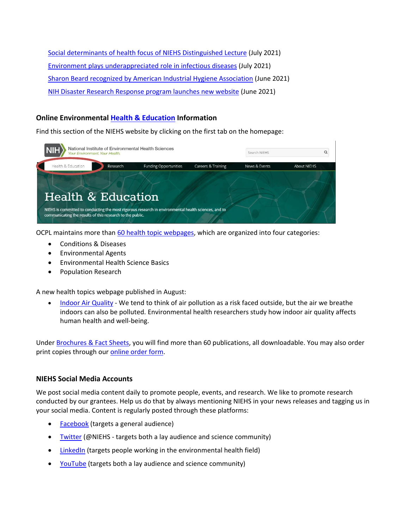[Social determinants of health focus of NIEHS Distinguished Lecture](https://factor.niehs.nih.gov/2021/7/community-impact/social-determinants/index.htm) (July 2021) [Environment plays underappreciated role in infectious diseases](https://factor.niehs.nih.gov/2021/7/science-highlights/infectious-diseases/index.htm) (July 2021) [Sharon Beard recognized by American Industrial Hygiene Association](https://factor.niehs.nih.gov/2021/6/feature/3-feature-rachel-carson/index.htm) (June 2021) [NIH Disaster Research Response program launches new website](https://factor.niehs.nih.gov/2021/6/feature/2-feature-disaster-response/index.htm) (June 2021)

### **Online Environmental [Health & Education](https://www.niehs.nih.gov/health/index.cfm) Information**

Find this section of the NIEHS website by clicking on the first tab on the homepage:



OCPL maintains more tha[n 60 health topic webpages,](https://www.niehs.nih.gov/health/topics/index.cfm) which are organized into four categories:

- Conditions & Diseases
- Environmental Agents
- Environmental Health Science Basics
- Population Research

A new health topics webpage published in August:

• [Indoor Air Quality](https://www.niehs.nih.gov/health/topics/agents/indoor-air/index.cfm) - We tend to think of air pollution as a risk faced outside, but the air we breathe indoors can also be polluted. Environmental health researchers study how indoor air quality affects human health and well-being.

Under [Brochures & Fact Sheets,](https://www.niehs.nih.gov/health/materials/index.cfm) you will find more than 60 publications, all downloadable. You may also order print copies through our **online order form**.

#### **NIEHS Social Media Accounts**

We post social media content daily to promote people, events, and research. We like to promote research conducted by our grantees. Help us do that by always mentioning NIEHS in your news releases and tagging us in your social media. Content is regularly posted through these platforms:

- [Facebook](https://www.facebook.com/NIH.NIEHS) (targets a general audience)
- [Twitter \(](https://twitter.com/niehs)@NIEHS targets both a lay audience and science community)
- [LinkedIn](https://www.linkedin.com/company/national-institute-of-environmental-health-sciences-niehs-) (targets people working in the environmental health field)
- [YouTube \(](https://www.youtube.com/channel/UCxg2OdLAFrKlSDCI0Yjgwsg)targets both a lay audience and science community)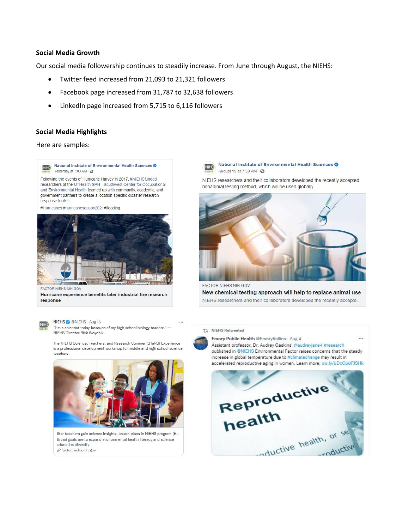#### **Social Media Growth**

Our social media followership continues to steadily increase. From June through August, the NIEHS:

- Twitter feed increased from 21,093 to 21,321 followers
- Facebook page increased from 31,787 to 32,638 followers
- LinkedIn page increased from 5,715 to 6,116 followers

#### **Social Media Highlights**

Here are samples:

Im)) **National Institute of Environmental Health Sciences 0 Yesterday at 7:03 AM ·**  $\odot$ 

Following the events of Hurricane Harvey in 2017, #NIEHSfunded researchers at the UTHealth SPH - Southwest Center for Occupational and Environmental Health teamed up with community, academic, and government partners to create a location-specific disaster research response toolkit.

#Hurricanes #hurricaneseason2021#flooding



FACTOR.NIEHS.NIH.GOV

**Hurricane experience benefits later industrial fire research response** 



**NIEHS ©** @NIEHS · Aug 16<br>**MIEHS** <sup>-1</sup> im a scientist todey because of my high school biology teacher.<sup>\*</sup> -<br>**ALLIE IS ONE AREA** NIEHS Director Rick Woychik

The NIEHS Science, Teachers, and Research Summer (STaRS) Experience **is a professional development workshop for mlddle and high school science teachers.** 



 $Star$  teachers gain science insights, lesson plans in NIEHS program (E... **Broad goals are to expand environmental health literacy and science education diversity.**  *&* **fector.niehs.nih.gov** 

**IMED** National Institute of Environmental Health Sciences  $\odot$ August 19 at 7:59 AM  $\cdot$  <sup>8</sup>

NIEHS researchers and their collaborators developed the recently accepted nonanimal testing method, which will be used globally.



FACTOR.NIEHS.NIH.GOV New chemical testing approach will help to replace animal use NIEHS researchers and their collaborators developed the recently accepte..

#### t1. NIEHS **Retweeted**



Assistant professor, Or. Audrey Gaskins' @audreyiane4 #research published in @MEHS Environmental Factor raises concems that the steady increase in global temperature due to #climatechange may result in accelerated reproductive aging in women. Learn more; ow.ly/5DcC50FJSHk

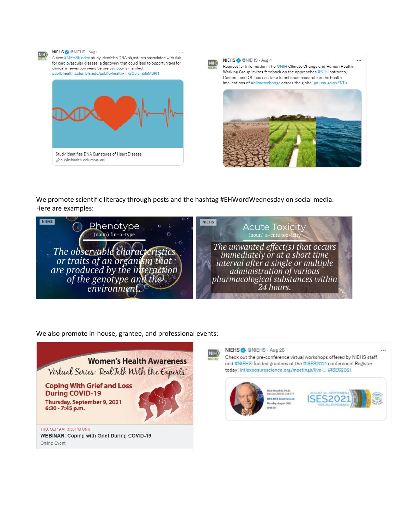



We promote scientific literacy through posts and the hashtag #EHWordWednesday on social media. Here are examples:



We also promote in-house, grantee, and professional events:





**NIEHS0@NIEHS** •Aug25

................ C.-•ltfVft••lff' \_\_\_ **ISES-ISEE Joint Session** Monday, August 30th t,Vt,t

Check out the pre-conference virtual workshops offered by NIEHS staff



 $...$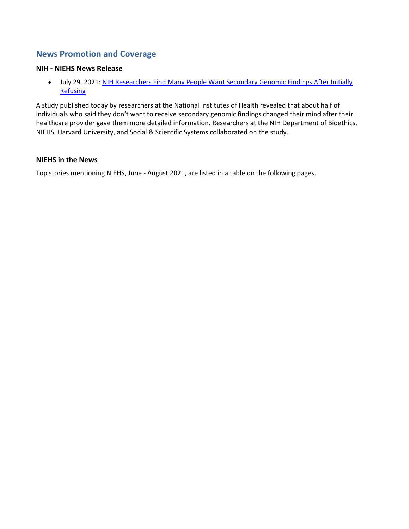## **News Promotion and Coverage**

#### **NIH - NIEHS News Release**

• July 29, 2021: [NIH Researchers Find Many People Want Secondary Genomic Findings After Initially](https://www.genome.gov/news/news-release/NIH-researchers-find-many-people-want-secondary-genomic-findings-after-initially-refusing)  [Refusing](https://www.genome.gov/news/news-release/NIH-researchers-find-many-people-want-secondary-genomic-findings-after-initially-refusing) 

A study published today by researchers at the National Institutes of Health revealed that about half of individuals who said they don't want to receive secondary genomic findings changed their mind after their healthcare provider gave them more detailed information. Researchers at the NIH Department of Bioethics, NIEHS, Harvard University, and Social & Scientific Systems collaborated on the study.

#### **NIEHS in the News**

Top stories mentioning NIEHS, June - August 2021, are listed in a table on the following pages.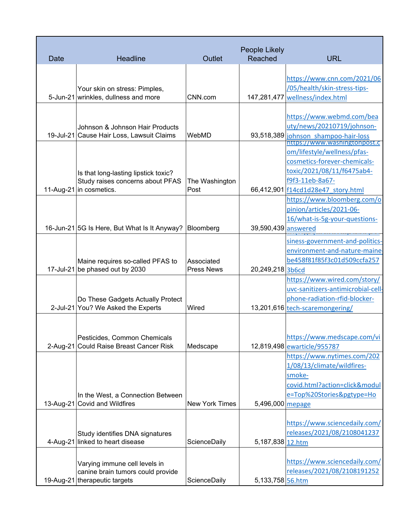| Date | <b>Headline</b>                                                         | Outlet                | People Likely<br><b>Reached</b> | <b>URL</b>                                                           |
|------|-------------------------------------------------------------------------|-----------------------|---------------------------------|----------------------------------------------------------------------|
|      |                                                                         |                       |                                 |                                                                      |
|      |                                                                         |                       |                                 | https://www.cnn.com/2021/06                                          |
|      | Your skin on stress: Pimples,                                           |                       |                                 | /05/health/skin-stress-tips-                                         |
|      | 5-Jun-21 wrinkles, dullness and more                                    | CNN.com               |                                 | 147,281,477 wellness/index.html                                      |
|      |                                                                         |                       |                                 |                                                                      |
|      |                                                                         |                       |                                 | https://www.webmd.com/bea                                            |
|      | Johnson & Johnson Hair Products                                         |                       |                                 | uty/news/20210719/johnson-                                           |
|      | 19-Jul-21 Cause Hair Loss, Lawsuit Claims                               | WebMD                 |                                 | 93,518,389 johnson shampoo-hair-loss<br>https://www.washingtonpost.c |
|      |                                                                         |                       |                                 | om/lifestyle/wellness/pfas-                                          |
|      |                                                                         |                       |                                 | cosmetics-forever-chemicals-                                         |
|      | Is that long-lasting lipstick toxic?                                    |                       |                                 | toxic/2021/08/11/f6475ab4-                                           |
|      | Study raises concerns about PFAS                                        | The Washington        |                                 | f9f3-11eb-8a67-                                                      |
|      | 11-Aug-21 in cosmetics.                                                 | Post                  |                                 | 66,412,901 f14cd1d28e47_story.html                                   |
|      |                                                                         |                       |                                 | https://www.bloomberg.com/o                                          |
|      |                                                                         |                       |                                 | pinion/articles/2021-06-                                             |
|      |                                                                         |                       |                                 | 16/what-is-5g-your-questions-                                        |
|      | 16-Jun-21 5G Is Here, But What Is It Anyway?                            | Bloomberg             | 39,590,439 answered             |                                                                      |
|      |                                                                         |                       |                                 | siness-government-and-politics-                                      |
|      |                                                                         |                       |                                 | environment-and-nature-maine-                                        |
|      | Maine requires so-called PFAS to                                        | Associated            |                                 | be458f81f85f3c01d509ccfa257                                          |
|      | 17-Jul-21 be phased out by 2030                                         | <b>Press News</b>     | 20,249,218 3b6cd                |                                                                      |
|      |                                                                         |                       |                                 | https://www.wired.com/story/                                         |
|      |                                                                         |                       |                                 | uvc-sanitizers-antimicrobial-cell-                                   |
|      | Do These Gadgets Actually Protect                                       |                       |                                 | phone-radiation-rfid-blocker-                                        |
|      | 2-Jul-21 You? We Asked the Experts                                      | Wired                 |                                 | 13,201,616 tech-scaremongering/                                      |
|      |                                                                         |                       |                                 |                                                                      |
|      |                                                                         |                       |                                 |                                                                      |
|      | Pesticides, Common Chemicals<br>2-Aug-21 Could Raise Breast Cancer Risk |                       |                                 | https://www.medscape.com/vi                                          |
|      |                                                                         | Medscape              |                                 | 12,819,498 ewarticle/955787                                          |
|      |                                                                         |                       |                                 | https://www.nytimes.com/202<br>1/08/13/climate/wildfires-            |
|      |                                                                         |                       |                                 | smoke-                                                               |
|      |                                                                         |                       |                                 | covid.html?action=click&modul                                        |
|      | In the West, a Connection Between                                       |                       |                                 | e=Top%20Stories&pgtype=Ho                                            |
|      | 13-Aug-21 Covid and Wildfires                                           | <b>New York Times</b> | 5,496,000 mepage                |                                                                      |
|      |                                                                         |                       |                                 |                                                                      |
|      |                                                                         |                       |                                 | https://www.sciencedaily.com/                                        |
|      | Study identifies DNA signatures                                         |                       |                                 | releases/2021/08/2108041237                                          |
|      | 4-Aug-21 linked to heart disease                                        | ScienceDaily          | 5,187,838 12.htm                |                                                                      |
|      |                                                                         |                       |                                 |                                                                      |
|      | Varying immune cell levels in                                           |                       |                                 | https://www.sciencedaily.com/                                        |
|      | canine brain tumors could provide                                       |                       |                                 | releases/2021/08/2108191252                                          |
|      | 19-Aug-21 therapeutic targets                                           | ScienceDaily          | 5,133,758 56.htm                |                                                                      |